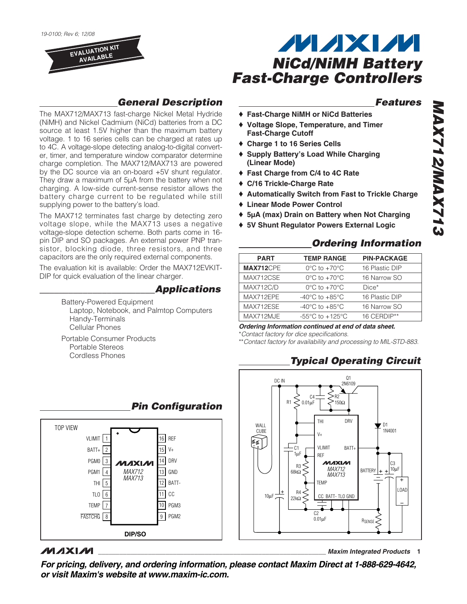

supplying power to the battery's load.

# **MAXM** *NiCd/NiMH Battery Fast-Charge Controllers*

#### *Features*

*MAX712/MAX713*

**8 FZX AM/S FTX AM** 

- ♦ **Fast-Charge NiMH or NiCd Batteries**
- ♦ **Voltage Slope, Temperature, and Timer Fast-Charge Cutoff**
- ♦ **Charge 1 to 16 Series Cells**
- ♦ **Supply Battery's Load While Charging (Linear Mode)**
- ♦ **Fast Charge from C/4 to 4C Rate**
- ♦ **C/16 Trickle-Charge Rate**
- ♦ **Automatically Switch from Fast to Trickle Charge**
- ♦ **Linear Mode Power Control**
- ♦ **5µA (max) Drain on Battery when Not Charging**
- ♦ **5V Shunt Regulator Powers External Logic**

#### *Ordering Information*

| <b>PART</b>      | <b>TEMP RANGE</b>                    | <b>PIN-PACKAGE</b> |
|------------------|--------------------------------------|--------------------|
| MAX712CPE        | $0^{\circ}$ C to $+70^{\circ}$ C     | 16 Plastic DIP     |
| MAX712CSE        | $0^{\circ}$ C to $+70^{\circ}$ C     | 16 Narrow SO       |
| <b>MAX712C/D</b> | $0^{\circ}$ C to $+70^{\circ}$ C     | $Dice*$            |
| MAX712EPE        | -40 $^{\circ}$ C to +85 $^{\circ}$ C | 16 Plastic DIP     |
| MAX712ESE        | $-40^{\circ}$ C to $+85^{\circ}$ C   | 16 Narrow SO       |
| MAX712MJE        | $-55^{\circ}$ C to $+125^{\circ}$ C  | 16 CERDIP**        |
|                  |                                      |                    |

*Ordering Information continued at end of data sheet.*

\**Contact factory for dice specifications.*

\*\**Contact factory for availability and processing to MIL-STD-883.*

## *Typical Operating Circuit*



**\_\_\_\_\_\_\_\_\_\_\_\_\_\_\_\_\_\_\_\_\_\_\_\_\_\_\_\_\_\_\_\_\_\_\_\_\_\_\_\_\_\_\_\_\_\_\_\_\_\_\_\_\_\_\_\_\_\_\_\_\_\_\_\_** *Maxim Integrated Products* **1**

- 
- 
- 
- 
- 
- 
- pin DIP and SO packages. An external power PNP transistor, blocking diode, three resistors, and three capacitors are the only required external components. The evaluation kit is available: Order the MAX712EVKIT-DIP for quick evaluation of the linear charger. *\_\_\_\_\_\_\_\_\_\_\_\_\_\_\_\_\_\_\_\_\_\_\_\_Applications*

Battery-Powered Equipment Laptop, Notebook, and Palmtop Computers Handy-Terminals Cellular Phones

Portable Consumer Products Portable Stereos Cordless Phones



### **MAXM**

*For pricing, delivery, and ordering information, please contact Maxim Direct at 1-888-629-4642, or visit Maxim's website at www.maxim-ic.com.*

## *Pin Configuration*

*General Description*

The MAX712/MAX713 fast-charge Nickel Metal Hydride (NiMH) and Nickel Cadmium (NiCd) batteries from a DC source at least 1.5V higher than the maximum battery voltage. 1 to 16 series cells can be charged at rates up to 4C. A voltage-slope detecting analog-to-digital converter, timer, and temperature window comparator determine charge completion. The MAX712/MAX713 are powered by the DC source via an on-board +5V shunt regulator. They draw a maximum of 5µA from the battery when not charging. A low-side current-sense resistor allows the battery charge current to be regulated while still

The MAX712 terminates fast charge by detecting zero voltage slope, while the MAX713 uses a negative voltage-slope detection scheme. Both parts come in 16-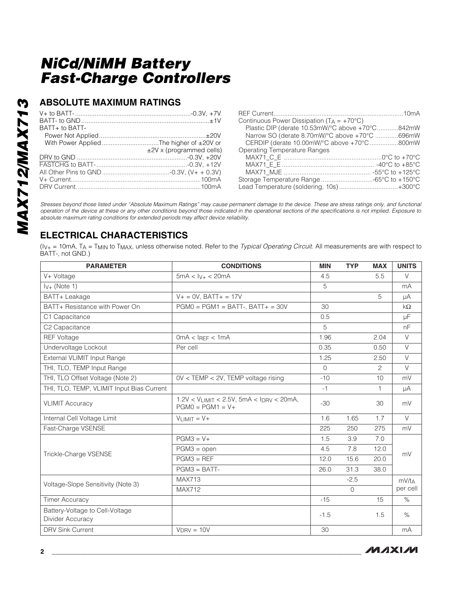#### **ABSOLUTE MAXIMUM RATINGS**

| BATT+ to BATT-                           |                            |
|------------------------------------------|----------------------------|
|                                          |                            |
| With Power Applied The higher of ±20V or |                            |
|                                          | $±2V$ x (programmed cells) |
|                                          |                            |
|                                          |                            |
|                                          |                            |
|                                          |                            |
|                                          |                            |

| Continuous Power Dissipation $(T_A = +70^{\circ}C)$ |  |
|-----------------------------------------------------|--|
| Plastic DIP (derate 10.53mW/°C above +70°C842mW     |  |
| Narrow SO (derate 8.70mW/°C above +70°C 696mW       |  |
| CERDIP (derate 10.00mW/°C above +70°C 800mW         |  |
| Operating Temperature Ranges                        |  |
|                                                     |  |
|                                                     |  |
|                                                     |  |
| Storage Temperature Range -65°C to +150°C           |  |
| Lead Temperature (soldering, 10s)+300°C             |  |

*Stresses beyond those listed under "Absolute Maximum Ratings" may cause permanent damage to the device. These are stress ratings only, and functional operation of the device at these or any other conditions beyond those indicated in the operational sections of the specifications is not implied. Exposure to absolute maximum rating conditions for extended periods may affect device reliability.*

## **ELECTRICAL CHARACTERISTICS**

(IV+ = 10mA, TA = TMIN to TMAX, unless otherwise noted. Refer to the *Typical Operating Circuit*. All measurements are with respect to BATT-, not GND.)

| <b>PARAMETER</b>                                    | <b>CONDITIONS</b>                                                          | <b>MIN</b> | <b>TYP</b>   | <b>MAX</b> | <b>UNITS</b> |
|-----------------------------------------------------|----------------------------------------------------------------------------|------------|--------------|------------|--------------|
| V+ Voltage                                          | $5mA < IV+ < 20mA$                                                         | 4.5        |              | 5.5        | V            |
| $I_{V+}$ (Note 1)                                   |                                                                            | 5          |              |            | mA           |
| BATT+ Leakage                                       | $V + = 0V$ , BATT+ = 17V                                                   |            |              | 5          | μA           |
| BATT+ Resistance with Power On                      | $PGMO = PGM1 = BATT-$ , $BATT + = 30V$                                     | 30         |              |            | $k\Omega$    |
| C1 Capacitance                                      |                                                                            | 0.5        |              |            | μF           |
| C <sub>2</sub> Capacitance                          |                                                                            | 5          |              |            | nF           |
| <b>REF Voltage</b>                                  | 0mA < IREF < 1mA                                                           | 1.96       |              | 2.04       | $\vee$       |
| Undervoltage Lockout                                | Per cell                                                                   | 0.35       |              | 0.50       | $\vee$       |
| External VLIMIT Input Range                         |                                                                            | 1.25       |              | 2.50       | $\vee$       |
| THI, TLO, TEMP Input Range                          |                                                                            | $\Omega$   |              | 2          | $\vee$       |
| THI, TLO Offset Voltage (Note 2)                    | $OV <$ TEMP $<$ 2V, TEMP voltage rising                                    | $-10$      |              | 10         | mV           |
| THI, TLO, TEMP, VLIMIT Input Bias Current           |                                                                            | $-1$       |              | 1          | μA           |
| <b>VLIMIT Accuracy</b>                              | $1.2V < V_{LIMIT} < 2.5V$ , 5mA < $I_{DRV} < 20mA$ ,<br>$PGMO = PGM1 = V+$ | $-30$      |              | 30         | mV           |
| Internal Cell Voltage Limit                         | $VLMIT = V +$                                                              | 1.6        | 1.65         | 1.7        | $\vee$       |
| Fast-Charge VSENSE                                  |                                                                            | 225        | 250          | 275        | mV           |
|                                                     | $PGM3 = V+$                                                                | 1.5        | 3.9          | 7.0        |              |
| Trickle-Charge VSENSE                               | $PGM3 = open$                                                              | 4.5        | 7.8          | 12.0       | mV           |
|                                                     | $PGM3 = REF$                                                               | 12.0       | 15.6         | 20.0       |              |
|                                                     | $PGM3 = BATT-$                                                             | 26.0       | 31.3         | 38.0       |              |
| Voltage-Slope Sensitivity (Note 3)                  | <b>MAX713</b>                                                              |            | $-2.5$       |            | mV/tA        |
|                                                     | <b>MAX712</b>                                                              |            | $\mathbf{O}$ |            | per cell     |
| <b>Timer Accuracy</b>                               |                                                                            | $-15$      |              | 15         | $\%$         |
| Battery-Voltage to Cell-Voltage<br>Divider Accuracy |                                                                            | $-1.5$     |              | 1.5        | $\%$         |
| <b>DRV Sink Current</b>                             | $V_{DRV} = 10V$                                                            | 30         |              |            | mA           |

**MAXM**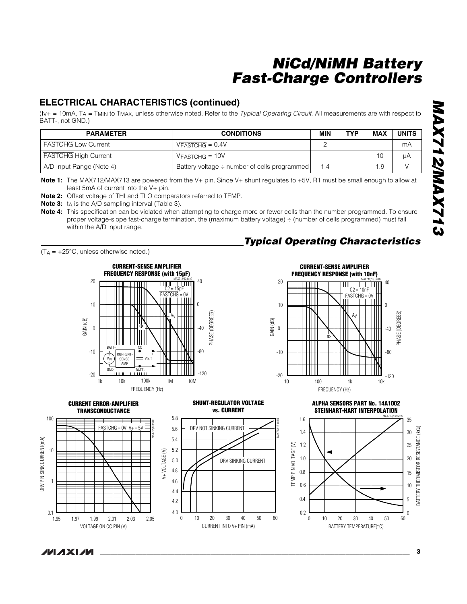#### **ELECTRICAL CHARACTERISTICS (continued)**

(IV+ = 10mA, TA = TMIN to TMAX, unless otherwise noted. Refer to the *Typical Operating Circuit*. All measurements are with respect to BATT-, not GND.)

| <b>PARAMETER</b>            | <b>CONDITIONS</b>                                 | <b>MIN</b> | <b>TYP</b> | <b>MAX</b>   | <b>UNITS</b> |
|-----------------------------|---------------------------------------------------|------------|------------|--------------|--------------|
| <b>FASTCHG Low Current</b>  | $VFASTCHG = 0.4V$                                 |            |            |              | mA           |
| <b>FASTCHG High Current</b> | $VFASTCHG = 10V$                                  |            |            | $10^{\circ}$ | uΑ           |
| A/D Input Range (Note 4)    | Battery voltage $\div$ number of cells programmed | 1.4        |            | .9           |              |

**Note 1:** The MAX712/MAX713 are powered from the V+ pin. Since V+ shunt regulates to +5V, R1 must be small enough to allow at least 5mA of current into the V+ pin.

**Note 2:** Offset voltage of THI and TLO comparators referred to TEMP.

**Note 3:** t<sub>A</sub> is the A/D sampling interval (Table 3).

**Note 4:** This specification can be violated when attempting to charge more or fewer cells than the number programmed. To ensure proper voltage-slope fast-charge termination, the (maximum battery voltage) ÷ (number of cells programmed) must fall within the A/D input range.

 $(T_A = +25^{\circ}C$ , unless otherwise noted.)



## *Typical Operating Characteristics*



30

40



**\_\_\_\_\_\_\_\_\_\_\_\_\_\_\_\_\_\_\_\_\_\_\_\_\_\_\_\_\_\_\_\_\_\_\_\_\_\_\_\_\_\_\_\_\_\_\_\_\_\_\_\_\_\_\_\_\_\_\_\_\_\_\_\_\_\_\_\_\_\_\_\_\_\_\_\_\_\_\_\_\_\_\_\_\_\_\_ 3**

**MAXM** 

DRV PIN SINK CURRENT(mA)

DRV PIN SINK CURRENT(mA)

BATTERY THERMISTOR RESISTANCE (k

BATTERY THERMISTOR

20

10 5

15

0

35 30 25

MAX712/13 toc05

Ω)

RESISTANCE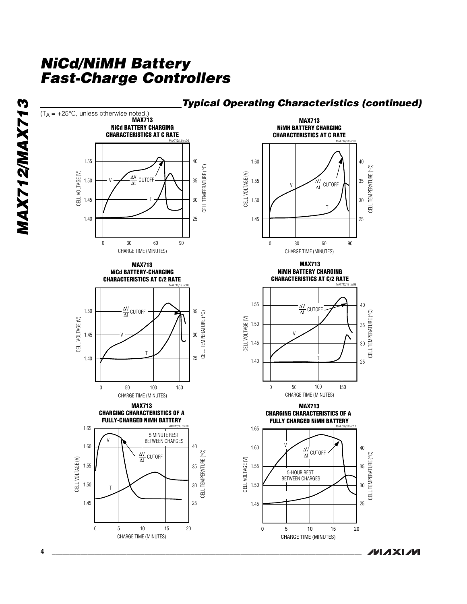

#### *Typical Operating Characteristics (continued)*

**MAXM**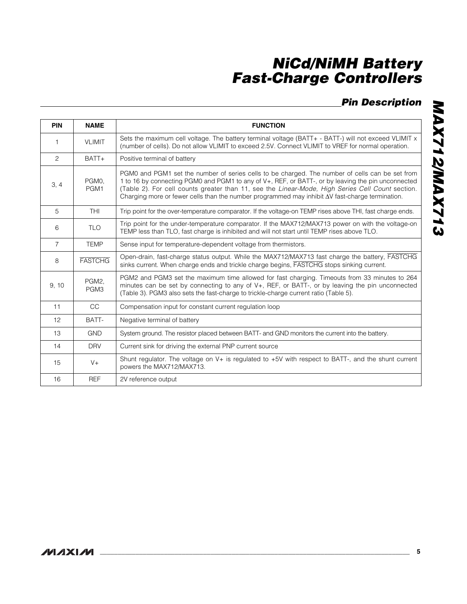## *Pin Description*

| <b>PIN</b>     | <b>NAME</b>    | <b>FUNCTION</b>                                                                                                                                                                                                                                                                                                                                                                                                      |
|----------------|----------------|----------------------------------------------------------------------------------------------------------------------------------------------------------------------------------------------------------------------------------------------------------------------------------------------------------------------------------------------------------------------------------------------------------------------|
| 1              | <b>VLIMIT</b>  | Sets the maximum cell voltage. The battery terminal voltage (BATT+ - BATT-) will not exceed VLIMIT x<br>(number of cells). Do not allow VLIMIT to exceed 2.5V. Connect VLIMIT to VREF for normal operation.                                                                                                                                                                                                          |
| $\overline{c}$ | BATT+          | Positive terminal of battery                                                                                                                                                                                                                                                                                                                                                                                         |
| 3, 4           | PGM0.<br>PGM1  | PGM0 and PGM1 set the number of series cells to be charged. The number of cells can be set from<br>1 to 16 by connecting PGM0 and PGM1 to any of V+, REF, or BATT-, or by leaving the pin unconnected<br>(Table 2). For cell counts greater than 11, see the Linear-Mode, High Series Cell Count section.<br>Charging more or fewer cells than the number programmed may inhibit $\Delta V$ fast-charge termination. |
| 5              | <b>THI</b>     | Trip point for the over-temperature comparator. If the voltage-on TEMP rises above THI, fast charge ends.                                                                                                                                                                                                                                                                                                            |
| 6              | <b>TLO</b>     | Trip point for the under-temperature comparator. If the MAX712/MAX713 power on with the voltage-on<br>TEMP less than TLO, fast charge is inhibited and will not start until TEMP rises above TLO.                                                                                                                                                                                                                    |
| $\overline{7}$ | <b>TEMP</b>    | Sense input for temperature-dependent voltage from thermistors.                                                                                                                                                                                                                                                                                                                                                      |
| 8              | <b>FASTCHG</b> | Open-drain, fast-charge status output. While the MAX712/MAX713 fast charge the battery, FASTCHG<br>sinks current. When charge ends and trickle charge begins, FASTCHG stops sinking current.                                                                                                                                                                                                                         |
| 9, 10          | PGM2.<br>PGM3  | PGM2 and PGM3 set the maximum time allowed for fast charging. Timeouts from 33 minutes to 264<br>minutes can be set by connecting to any of $V_{+}$ . REF, or BATT-, or by leaving the pin unconnected<br>(Table 3). PGM3 also sets the fast-charge to trickle-charge current ratio (Table 5).                                                                                                                       |
| 11             | <b>CC</b>      | Compensation input for constant current regulation loop                                                                                                                                                                                                                                                                                                                                                              |
| 12             | BATT-          | Negative terminal of battery                                                                                                                                                                                                                                                                                                                                                                                         |
| 13             | <b>GND</b>     | System ground. The resistor placed between BATT- and GND monitors the current into the battery.                                                                                                                                                                                                                                                                                                                      |
| 14             | <b>DRV</b>     | Current sink for driving the external PNP current source                                                                                                                                                                                                                                                                                                                                                             |
| 15             | $V +$          | Shunt regulator. The voltage on V+ is regulated to +5V with respect to BATT-, and the shunt current<br>powers the MAX712/MAX713.                                                                                                                                                                                                                                                                                     |
| 16             | <b>REF</b>     | 2V reference output                                                                                                                                                                                                                                                                                                                                                                                                  |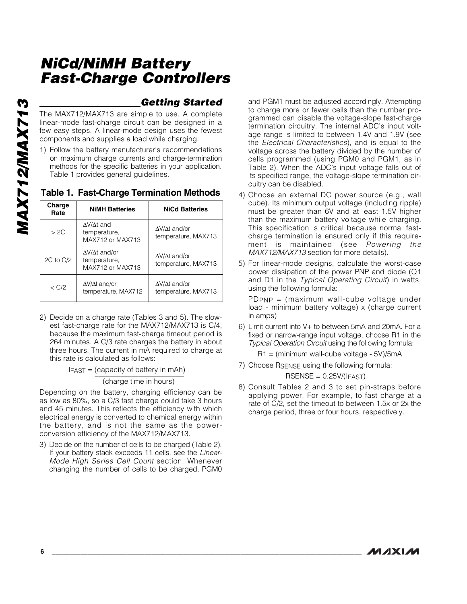# **MAX712/MAX713** *MAX712/MAX713*

2C to C/2

#### *Getting Started*

temperature, MAX713

The MAX712/MAX713 are simple to use. A complete linear-mode fast-charge circuit can be designed in a few easy steps. A linear-mode design uses the fewest components and supplies a load while charging.

1) Follow the battery manufacturer's recommendations on maximum charge currents and charge-termination methods for the specific batteries in your application. Table 1 provides general guidelines.

**Charge Rate NiMH Batteries NiCd Batteries** ΔV/Δt and/or temperature, MAX713 ΔV/Δt and temperature, MAX712 or MAX713 > 2C ΔV/Δt and/or ΔV/Δt and/or

temperature, MAX712 or MAX713

#### **Table 1. Fast-Charge Termination Methods**

| < C/2 | $\Delta V/\Delta t$ and/or<br>temperature, MAX712 | $\Delta V/\Delta t$ and/or<br>temperature, MAX713                                                            |
|-------|---------------------------------------------------|--------------------------------------------------------------------------------------------------------------|
|       |                                                   | 2) Decide on a charge rate (Tables 3 and 5). The slow-<br>est fast-charge rate for the MAX712/MAX713 is C/4, |

because the maximum fast-charge timeout period is 264 minutes. A C/3 rate charges the battery in about three hours. The current in mA required to charge at this rate is calculated as follows:

 $IFAST = (capacity of battery in mAh)$ <br>(charge time in hours)

Depending on the battery, charging efficiency can be as low as 80%, so a C/3 fast charge could take 3 hours and 45 minutes. This reflects the efficiency with which electrical energy is converted to chemical energy within the battery, and is not the same as the powerconversion efficiency of the MAX712/MAX713.

3) Decide on the number of cells to be charged (Table 2). If your battery stack exceeds 11 cells, see the *Linear-Mode High Series Cell Count* section. Whenever changing the number of cells to be charged, PGM0 and PGM1 must be adjusted accordingly. Attempting to charge more or fewer cells than the number programmed can disable the voltage-slope fast-charge termination circuitry. The internal ADC's input voltage range is limited to between 1.4V and 1.9V (see the *Electrical Characteristics*), and is equal to the voltage across the battery divided by the number of cells programmed (using PGM0 and PGM1, as in Table 2). When the ADC's input voltage falls out of its specified range, the voltage-slope termination circuitry can be disabled.

- 4) Choose an external DC power source (e.g., wall cube). Its minimum output voltage (including ripple) must be greater than 6V and at least 1.5V higher than the maximum battery voltage while charging. This specification is critical because normal fastcharge termination is ensured only if this requirement is maintained (see *Powering the MAX712/MAX713* section for more details).
- 5) For linear-mode designs, calculate the worst-case power dissipation of the power PNP and diode (Q1 and D1 in the *Typical Operating Circuit*) in watts, using the following formula:

PDPNP = (maximum wall-cube voltage under load - minimum battery voltage) x (charge current in amps)

6) Limit current into V+ to between 5mA and 20mA. For a fixed or narrow-range input voltage, choose R1 in the *Typical Operation Circuit* using the following formula:

R1 = (minimum wall-cube voltage - 5V)/5mA

7) Choose RSENSE using the following formula:

 $RSENSE = 0.25V/(IFAST)$ 

8) Consult Tables 2 and 3 to set pin-straps before applying power. For example, to fast charge at a rate of C/2, set the timeout to between 1.5x or 2x the charge period, three or four hours, respectively.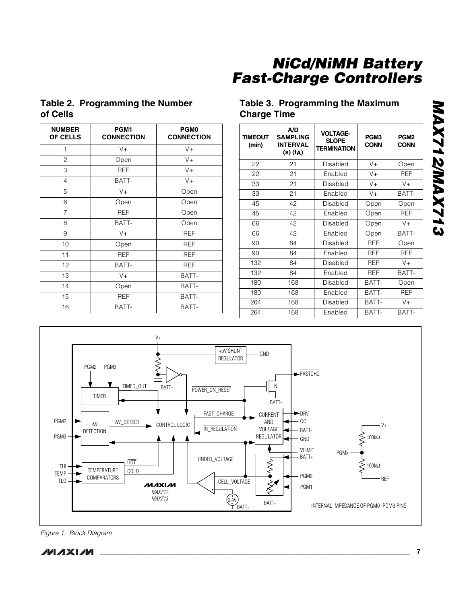#### **Table 2. Programming the Number of Cells**

| <b>NUMBER</b><br><b>OF CELLS</b> | PGM1<br><b>CONNECTION</b> | <b>PGM0</b><br><b>CONNECTION</b> |
|----------------------------------|---------------------------|----------------------------------|
| 1                                | $V +$                     | $V +$                            |
| $\overline{c}$                   | Open                      | $V +$                            |
| 3                                | <b>REF</b>                | $V +$                            |
| 4                                | BATT-                     | $V +$                            |
| 5                                | $V +$                     | Open                             |
| 6                                | Open                      | Open                             |
| $\overline{7}$                   | <b>REF</b>                | Open                             |
| 8                                | BATT-                     | Open                             |
| 9                                | $V +$                     | REF                              |
| 10                               | Open                      | <b>REF</b>                       |
| 11                               | <b>REF</b>                | <b>REF</b>                       |
| 12 <sup>°</sup>                  | BATT-                     | <b>REF</b>                       |
| 13                               | $V +$                     | BATT-                            |
| 14                               | Open                      | BATT-                            |
| 15                               | <b>REF</b>                | BATT-                            |
| 16                               | BATT-                     | BATT-                            |

#### **Table 3. Programming the Maximum Charge Time**

| <b>TIMEOUT</b><br>(min) | A/D<br><b>SAMPLING</b><br><b>INTERVAL</b><br>(s) (t <sub>A</sub> ) | <b>VOLTAGE-</b><br><b>SLOPE</b><br><b>TERMINATION</b> | PGM3<br><b>CONN</b> | PGM <sub>2</sub><br><b>CONN</b> |
|-------------------------|--------------------------------------------------------------------|-------------------------------------------------------|---------------------|---------------------------------|
| 22                      | 21                                                                 | Disabled                                              | $V +$               | Open                            |
| 22                      | 21                                                                 | Enabled                                               | $V +$               | <b>REF</b>                      |
| 33                      | 21                                                                 | Disabled                                              | $V +$               | $V +$                           |
| 33                      | 21                                                                 | Enabled                                               | $V +$               | BATT-                           |
| 45                      | 42                                                                 | Disabled                                              | Open                | Open                            |
| 45                      | 42                                                                 | Enabled                                               | Open                | <b>REF</b>                      |
| 66                      | 42                                                                 | Disabled                                              | Open                | V+                              |
| 66                      | 42                                                                 | Enabled                                               | Open                | BATT-                           |
| 90                      | 84                                                                 | Disabled                                              | <b>REF</b>          | Open                            |
| 90                      | 84                                                                 | Enabled                                               | <b>REF</b>          | <b>REF</b>                      |
| 132                     | 84                                                                 | Disabled                                              | <b>REF</b>          | $V +$                           |
| 132                     | 84                                                                 | Enabled                                               | <b>REF</b>          | BATT-                           |
| 180                     | 168                                                                | Disabled                                              | BATT-               | Open                            |
| 180                     | 168                                                                | Enabled                                               | BATT-               | <b>REF</b>                      |
| 264                     | 168                                                                | Disabled                                              | BATT-               | $V +$                           |
| 264                     | 168                                                                | Enabled                                               | BATT-               | BATT-                           |



*Figure 1. Block Diagram*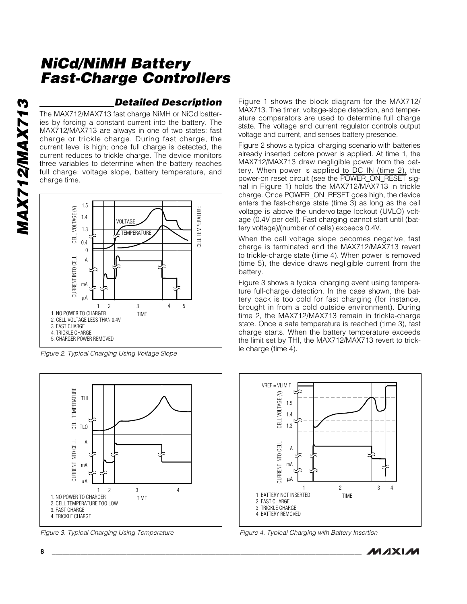**MAX712/MAX713** *MAX712/MAX713*

#### *Detailed Description*

The MAX712/MAX713 fast charge NiMH or NiCd batteries by forcing a constant current into the battery. The MAX712/MAX713 are always in one of two states: fast charge or trickle charge. During fast charge, the current level is high; once full charge is detected, the current reduces to trickle charge. The device monitors three variables to determine when the battery reaches full charge: voltage slope, battery temperature, and charge time.



*Figure 2. Typical Charging Using Voltage Slope*



*Figure 3. Typical Charging Using Temperature*

Figure 1 shows the block diagram for the MAX712/ MAX713. The timer, voltage-slope detection, and temperature comparators are used to determine full charge state. The voltage and current regulator controls output voltage and current, and senses battery presence.

Figure 2 shows a typical charging scenario with batteries already inserted before power is applied. At time 1, the MAX712/MAX713 draw negligible power from the battery. When power is applied to DC IN (time 2), the<br>power-on reset circuit (see the POWER\_ON\_RESET sigpower-on reset circuit (see the POWER\_ON\_RESET signal in Figure 1) holds the MAX712/MAX713 in trickle .<br>nal in Figure 1) holds the MAX712/MAX713 in trickle<br>charge. Once POWER\_ON\_RESET goes high, the device enters the fast-charge state (time 3) as long as the cell voltage is above the undervoltage lockout (UVLO) voltage (0.4V per cell). Fast charging cannot start until (battery voltage)/(number of cells) exceeds 0.4V.

When the cell voltage slope becomes negative, fast charge is terminated and the MAX712/MAX713 revert to trickle-charge state (time 4). When power is removed (time 5), the device draws negligible current from the battery.

Figure 3 shows a typical charging event using temperature full-charge detection. In the case shown, the battery pack is too cold for fast charging (for instance, brought in from a cold outside environment). During time 2, the MAX712/MAX713 remain in trickle-charge state. Once a safe temperature is reached (time 3), fast charge starts. When the battery temperature exceeds the limit set by THI, the MAX712/MAX713 revert to trickle charge (time 4).



*Figure 4. Typical Charging with Battery Insertion*

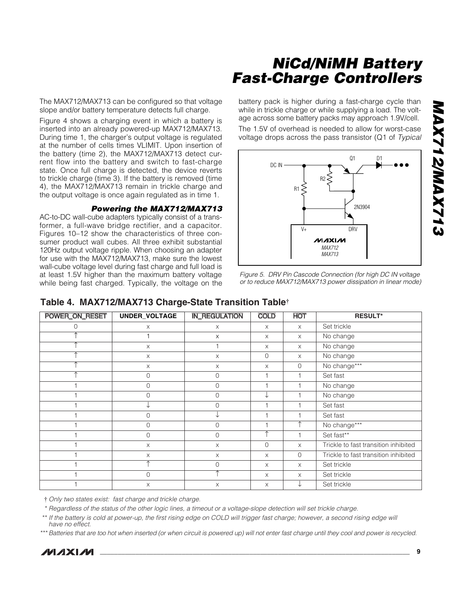The MAX712/MAX713 can be configured so that voltage slope and/or battery temperature detects full charge.

Figure 4 shows a charging event in which a battery is inserted into an already powered-up MAX712/MAX713. During time 1, the charger's output voltage is regulated at the number of cells times VLIMIT. Upon insertion of the battery (time 2), the MAX712/MAX713 detect current flow into the battery and switch to fast-charge state. Once full charge is detected, the device reverts to trickle charge (time 3). If the battery is removed (time 4), the MAX712/MAX713 remain in trickle charge and the output voltage is once again regulated as in time 1.

#### *Powering the MAX712/MAX713*

AC-to-DC wall-cube adapters typically consist of a transformer, a full-wave bridge rectifier, and a capacitor. Figures 10–12 show the characteristics of three consumer product wall cubes. All three exhibit substantial 120Hz output voltage ripple. When choosing an adapter for use with the MAX712/MAX713, make sure the lowest wall-cube voltage level during fast charge and full load is at least 1.5V higher than the maximum battery voltage while being fast charged. Typically, the voltage on the battery pack is higher during a fast-charge cycle than while in trickle charge or while supplying a load. The voltage across some battery packs may approach 1.9V/cell.

The 1.5V of overhead is needed to allow for worst-case voltage drops across the pass transistor (Q1 of *Typical*



*Figure 5. DRV Pin Cascode Connection (for high DC IN voltage or to reduce MAX712/MAX713 power dissipation in linear mode)*

| POWER_ON_RESET | UNDER_VOLTAGE  | <b>IN_REGULATION</b> | <b>COLD</b> | <b>HOT</b> | <b>RESULT*</b>                       |
|----------------|----------------|----------------------|-------------|------------|--------------------------------------|
| 0              | X              | X                    | X           | $\times$   | Set trickle                          |
| 木              |                | X                    | $\times$    | $\times$   | No change                            |
|                | $\times$       |                      | X           | $\times$   | No change                            |
|                | X              | X                    | $\mathbf 0$ | $\times$   | No change                            |
|                | X              | X                    | X           | $\Omega$   | No change***                         |
|                | $\overline{0}$ | $\overline{0}$       |             |            | Set fast                             |
|                | $\Omega$       | $\overline{O}$       |             |            | No change                            |
|                | $\Omega$       | $\overline{O}$       | ↓           |            | No change                            |
|                |                | $\overline{O}$       |             |            | Set fast                             |
|                | $\Omega$       |                      |             |            | Set fast                             |
|                | $\overline{0}$ | $\overline{O}$       |             | ∧          | No change***                         |
|                | $\Omega$       | $\overline{O}$       | ↑           |            | Set fast**                           |
|                | $\times$       | $\times$             | $\circ$     | $\times$   | Trickle to fast transition inhibited |
|                | X              | $\times$             | X           | $\Omega$   | Trickle to fast transition inhibited |
|                |                | $\overline{0}$       | X           | $\times$   | Set trickle                          |
|                | $\Omega$       | ∧                    | X           | X          | Set trickle                          |
|                | X              | $\times$             | X           |            | Set trickle                          |

#### **Table 4. MAX712/MAX713 Charge-State Transition Table†**

† *Only two states exist: fast charge and trickle charge.*

\* *Regardless of the status of the other logic lines, a timeout or a voltage-slope detection will set trickle charge.*

\*\* If the battery is cold at power-up, the first rising edge on COLD will trigger fast charge; however, a second rising edge will *have no effect.*

\*\*\**Batteries that are too hot when inserted (or when circuit is powered up) will not enter fast charge until they cool and power is recycled.*



**MAXM**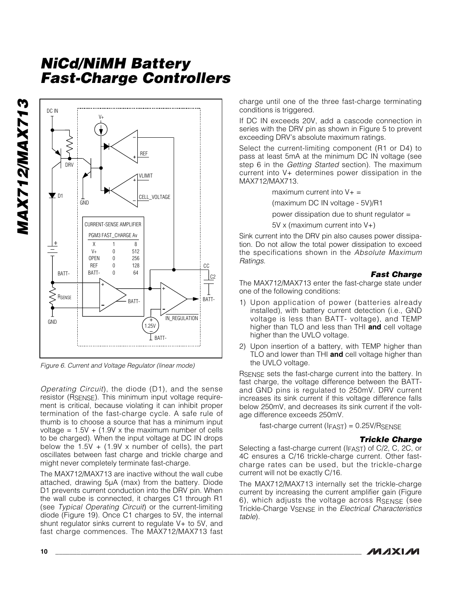**MAX712/MAX713** *MAX712/MAX713*



*Figure 6. Current and Voltage Regulator (linear mode)*

*Operating Circuit*), the diode (D1), and the sense resistor (RSENSE). This minimum input voltage requirement is critical, because violating it can inhibit proper termination of the fast-charge cycle. A safe rule of thumb is to choose a source that has a minimum input voltage =  $1.5V + (1.9V \times \text{the maximum number of cells})$ to be charged). When the input voltage at DC IN drops below the  $1.5V + (1.9V \times \text{number of cells})$ , the part oscillates between fast charge and trickle charge and might never completely terminate fast-charge.

The MAX712/MAX713 are inactive without the wall cube attached, drawing 5µA (max) from the battery. Diode D1 prevents current conduction into the DRV pin. When the wall cube is connected, it charges C1 through R1 (see *Typical Operating Circuit*) or the current-limiting diode (Figure 19). Once C1 charges to 5V, the internal shunt regulator sinks current to regulate V+ to 5V, and fast charge commences. The MAX712/MAX713 fast

charge until one of the three fast-charge terminating conditions is triggered.

If DC IN exceeds 20V, add a cascode connection in series with the DRV pin as shown in Figure 5 to prevent exceeding DRV's absolute maximum ratings.

Select the current-limiting component (R1 or D4) to pass at least 5mA at the minimum DC IN voltage (see step 6 in the *Getting Started* section). The maximum current into V+ determines power dissipation in the MAX712/MAX713.

maximum current into  $V_+$  =

(maximum DC IN voltage - 5V)/R1

power dissipation due to shunt regulator =

5V x (maximum current into V+)

Sink current into the DRV pin also causes power dissipation. Do not allow the total power dissipation to exceed the specifications shown in the *Absolute Maximum Ratings*.

#### *Fast Charge*

The MAX712/MAX713 enter the fast-charge state under one of the following conditions:

- 1) Upon application of power (batteries already installed), with battery current detection (i.e., GND voltage is less than BATT- voltage), and TEMP higher than TLO and less than THI **and** cell voltage higher than the UVLO voltage.
- 2) Upon insertion of a battery, with TEMP higher than TLO and lower than THI **and** cell voltage higher than the UVLO voltage.

RSENSE sets the fast-charge current into the battery. In fast charge, the voltage difference between the BATTand GND pins is regulated to 250mV. DRV current increases its sink current if this voltage difference falls below 250mV, and decreases its sink current if the voltage difference exceeds 250mV.

fast-charge current  $(IFAST) = 0.25V/RSENSE$ 

#### *Trickle Charge*

Selecting a fast-charge current (IFAST) of C/2, C, 2C, or 4C ensures a C/16 trickle-charge current. Other fastcharge rates can be used, but the trickle-charge current will not be exactly C/16.

The MAX712/MAX713 internally set the trickle-charge current by increasing the current amplifier gain (Figure 6), which adjusts the voltage across RSENSE (see Trickle-Charge VSENSE in the *Electrical Characteristics table*)*.* 

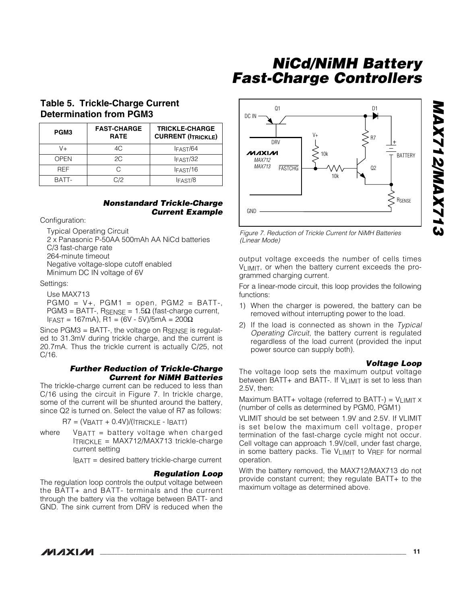#### **Table 5. Trickle-Charge Current Determination from PGM3**

| PGM3       | <b>FAST-CHARGE</b><br><b>RATE</b> | <b>TRICKLE-CHARGE</b><br><b>CURRENT (ITRICKLE)</b> |
|------------|-----------------------------------|----------------------------------------------------|
| V+         | 4C,                               | IFAST/64                                           |
| OPEN       | 2C                                | IFAST/32                                           |
| <b>RFF</b> | C                                 | IFAST/16                                           |
| BATT-      | C/2                               | IFAST/8                                            |

#### *Nonstandard Trickle-Charge Current Example*

Configuration:

Typical Operating Circuit

2 x Panasonic P-50AA 500mAh AA NiCd batteries C/3 fast-charge rate 264-minute timeout Negative voltage-slope cutoff enabled Minimum DC IN voltage of 6V

#### Settings:

Use MAX713  $PGMO = V_+$ ,  $PGM1 = open$ ,  $PGM2 = BATT-$ , PGM3 = BATT-,  $R_{SENSE} = 1.5Ω$  (fast-charge current,  $IFAST = 167mA$ , R1 = (6V - 5V)/5mA = 200Ω

Since PGM3 = BATT-, the voltage on RSENSE is regulated to 31.3mV during trickle charge, and the current is 20.7mA. Thus the trickle current is actually C/25, not C/16.

#### *Further Reduction of Trickle-Charge Current for NiMH Batteries*

The trickle-charge current can be reduced to less than C/16 using the circuit in Figure 7. In trickle charge, some of the current will be shunted around the battery, since Q2 is turned on. Select the value of R7 as follows:

 $R7 = (V_{BATT} + 0.4V)/(\text{ITRICKLE} - \text{IBATT})$ 

where  $V_{\text{BATT}}$  = battery voltage when charged ITRlCKLE = MAX712/MAX713 trickle-charge current setting

IBATT = desired battery trickle-charge current

#### *Regulation Loop*

The regulation loop controls the output voltage between the BATT+ and BATT- terminals and the current through the battery via the voltage between BATT- and GND. The sink current from DRV is reduced when the



*Figure 7. Reduction of Trickle Current for NiMH Batteries (Linear Mode)*

output voltage exceeds the number of cells times VLIMIT, or when the battery current exceeds the programmed charging current.

For a linear-mode circuit, this loop provides the following functions:

- 1) When the charger is powered, the battery can be removed without interrupting power to the load.
- 2) If the load is connected as shown in the *Typical Operating Circuit*, the battery current is regulated regardless of the load current (provided the input power source can supply both).

#### *Voltage Loop*

The voltage loop sets the maximum output voltage between BATT+ and BATT-. If VLIMIT is set to less than 2.5V, then:

Maximum BATT+ voltage (referred to BATT-) =  $V_{LIMIT}$  x (number of cells as determined by PGM0, PGM1)

VLIMIT should be set between 1.9V and 2.5V. If VLIMIT is set below the maximum cell voltage, proper termination of the fast-charge cycle might not occur. Cell voltage can approach 1.9V/cell, under fast charge, in some battery packs. Tie VLIMIT to VREF for normal operation.

With the battery removed, the MAX712/MAX713 do not provide constant current; they regulate BATT+ to the maximum voltage as determined above.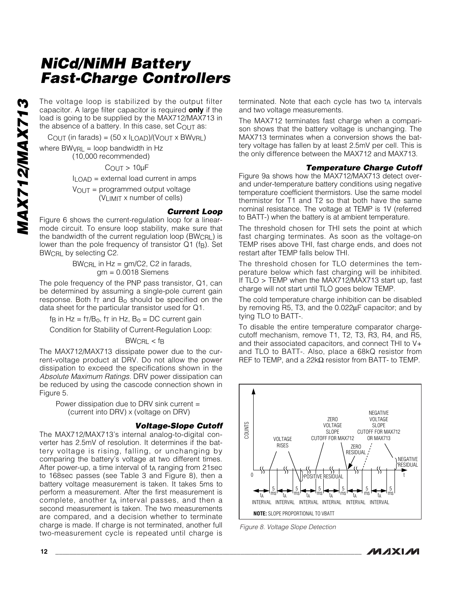The voltage loop is stabilized by the output filter capacitor. A large filter capacitor is required **only** if the load is going to be supplied by the MAX712/MAX713 in the absence of a battery. In this case, set  $C_{\text{OUT}}$  as:

COUT (in farads) =  $(50 \times I_{LOAD})/(V_{OUT} \times BWVRL)$ 

where  $BWVRL = loop$  bandwidth in Hz (10,000 recommended)

 $C_{\text{OUT}}$  >  $10\mu$ F

ILOAD = external load current in amps

VOUT = programmed output voltage (VLIMIT x number of cells)

#### *Current Loop*

Figure 6 shows the current-regulation loop for a linearmode circuit. To ensure loop stability, make sure that the bandwidth of the current regulation loop  $(BW_{\text{CRL}})$  is lower than the pole frequency of transistor  $Q1$  (f<sub>B</sub>). Set BWCRL by selecting C2.

> BWCRL in Hz = gm/C2, C2 in farads, gm = 0.0018 Siemens

The pole frequency of the PNP pass transistor, Q1, can be determined by assuming a single-pole current gain response. Both  $f<sub>T</sub>$  and  $B<sub>o</sub>$  should be specified on the data sheet for the particular transistor used for Q1.

f<sub>B</sub> in Hz =  $f<sub>T</sub>/B<sub>o</sub>$ , f<sub>T</sub> in Hz,  $B<sub>o</sub>$  = DC current gain

Condition for Stability of Current-Regulation Loop:

#### $BW_{\text{CRI}} < f_{\text{B}}$

The MAX712/MAX713 dissipate power due to the current-voltage product at DRV. Do not allow the power dissipation to exceed the specifications shown in the *Absolute Maximum Ratings*. DRV power dissipation can be reduced by using the cascode connection shown in Figure 5.

Power dissipation due to DRV sink current = (current into DRV) x (voltage on DRV)

#### *Voltage-Slope Cutoff*

The MAX712/MAX713's internal analog-to-digital converter has 2.5mV of resolution. It determines if the battery voltage is rising, falling, or unchanging by comparing the battery's voltage at two different times. After power-up, a time interval of  $t_A$  ranging from 21sec to 168sec passes (see Table 3 and Figure 8), then a battery voltage measurement is taken. It takes 5ms to perform a measurement. After the first measurement is complete, another  $t_A$  interval passes, and then a second measurement is taken. The two measurements are compared, and a decision whether to terminate charge is made. If charge is not terminated, another full two-measurement cycle is repeated until charge is

terminated. Note that each cycle has two ta intervals and two voltage measurements.

The MAX712 terminates fast charge when a comparison shows that the battery voltage is unchanging. The MAX713 terminates when a conversion shows the battery voltage has fallen by at least 2.5mV per cell. This is the only difference between the MAX712 and MAX713.

#### *Temperature Charge Cutoff*

Figure 9a shows how the MAX712/MAX713 detect overand under-temperature battery conditions using negative temperature coefficient thermistors. Use the same model thermistor for T1 and T2 so that both have the same nominal resistance. The voltage at TEMP is 1V (referred to BATT-) when the battery is at ambient temperature.

The threshold chosen for THI sets the point at which fast charging terminates. As soon as the voltage-on TEMP rises above THI, fast charge ends, and does not restart after TEMP falls below THI.

The threshold chosen for TLO determines the temperature below which fast charging will be inhibited. If TLO > TEMP when the MAX712/MAX713 start up, fast charge will not start until TLO goes below TEMP.

The cold temperature charge inhibition can be disabled by removing R5, T3, and the 0.022μF capacitor; and by tying TLO to BATT-.

To disable the entire temperature comparator chargecutoff mechanism, remove T1, T2, T3, R3, R4, and R5, and their associated capacitors, and connect THI to V+ and TLO to BATT-. Also, place a 68kQ resistor from REF to TEMP, and a 22kΩ resistor from BATT- to TEMP.



*Figure 8. Voltage Slope Detection*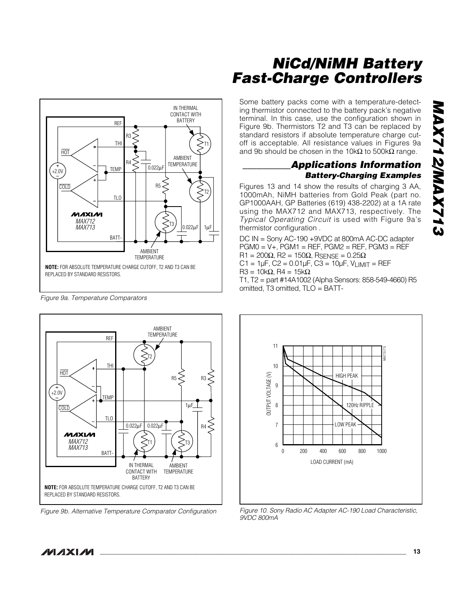

*Figure 9a. Temperature Comparators*



*Figure 9b. Alternative Temperature Comparator Configuration*

**MAXM** 

## *NiCd/NiMH Battery Fast-Charge Controllers*

Some battery packs come with a temperature-detecting thermistor connected to the battery pack's negative terminal. In this case, use the configuration shown in Figure 9b. Thermistors T2 and T3 can be replaced by standard resistors if absolute temperature charge cutoff is acceptable. All resistance values in Figures 9a and 9b should be chosen in the 10kΩ to 500kΩ range.

#### *\_\_\_\_\_\_\_\_\_\_Applications Information Battery-Charging Examples*

Figures 13 and 14 show the results of charging 3 AA, 1000mAh, NiMH batteries from Gold Peak (part no. GP1000AAH, GP Batteries (619) 438-2202) at a 1A rate using the MAX712 and MAX713, respectively. The *Typical Operating Circuit* is used with Figure 9a's thermistor configuration .

DC IN = Sony AC-190 +9VDC at 800mA AC-DC adapter  $PGMO = V +$ ,  $PGM1 = REF$ ,  $PGM2 = REF$ ,  $PGM3 = REF$ R1 = 200 $\Omega$ , R2 = 150 $\Omega$ , RSENSE = 0.25 $\Omega$  $C1 = 1 \mu F$ ,  $C2 = 0.01 \mu F$ ,  $C3 = 10 \mu F$ ,  $V_{LIMIT} = REF$  $R3 = 10k\Omega$ ,  $R4 = 15k\Omega$ 

T1, T2 = part #14A1002 (Alpha Sensors: 858-549-4660) R5 omitted, T3 omitted, TLO = BATT-



*Figure 10. Sony Radio AC Adapter AC-190 Load Characteristic, 9VDC 800mA*

*MAX712/MAX713* **SIZXVMSIZXVM**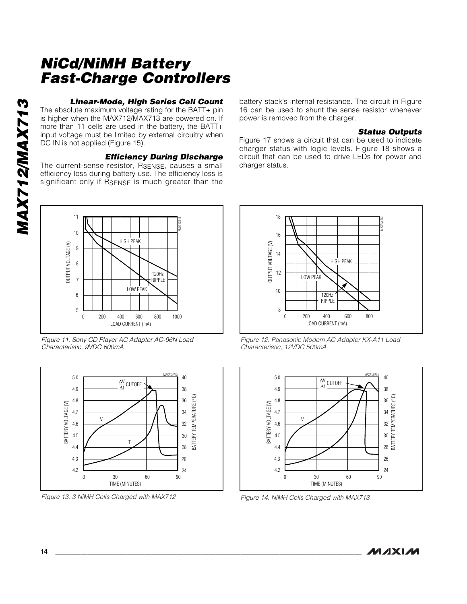#### *Linear-Mode, High Series Cell Count*

The absolute maximum voltage rating for the BATT+ pin is higher when the MAX712/MAX713 are powered on. If more than 11 cells are used in the battery, the BATT+ input voltage must be limited by external circuitry when DC IN is not applied (Figure 15).

#### *Efficiency During Discharge*

The current-sense resistor, RSENSE, causes a small efficiency loss during battery use. The efficiency loss is significant only if RSENSE is much greater than the battery stack's internal resistance. The circuit in Figure 16 can be used to shunt the sense resistor whenever power is removed from the charger.

#### *Status Outputs*

Figure 17 shows a circuit that can be used to indicate charger status with logic levels. Figure 18 shows a circuit that can be used to drive LEDs for power and charger status.



*Figure 11. Sony CD Player AC Adapter AC-96N Load Characteristic, 9VDC 600mA*



*Figure 13. 3 NiMH Cells Charged with MAX712*



*Figure 12. Panasonic Modem AC Adapter KX-A11 Load Characteristic, 12VDC 500mA*



*Figure 14. NiMH Cells Charged with MAX713*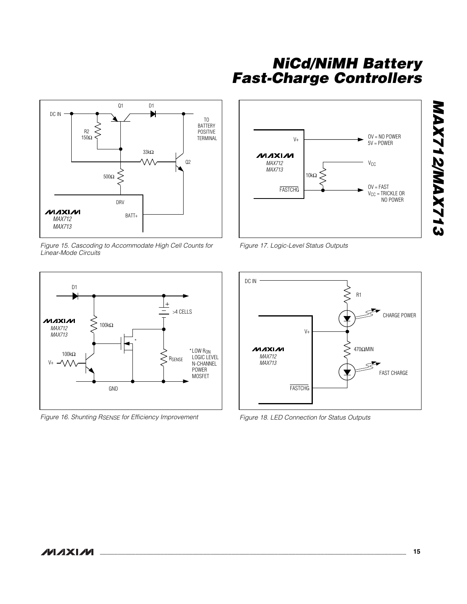

*Figure 15. Cascoding to Accommodate High Cell Counts for Linear-Mode Circuits*



*Figure 16. Shunting RSENSE for Efficiency Improvement*



*Figure 17. Logic-Level Status Outputs*



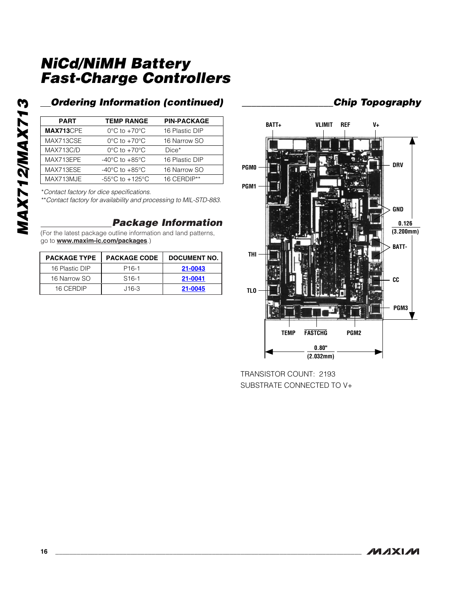## *Ordering Information (continued) \_\_\_\_\_\_\_\_\_\_\_\_\_\_\_\_\_\_\_Chip Topography*

| <b>PART</b> | <b>TEMP RANGE</b>                    | <b>PIN-PACKAGE</b> |
|-------------|--------------------------------------|--------------------|
| MAX713CPE   | $0^{\circ}$ C to $+70^{\circ}$ C     | 16 Plastic DIP     |
| MAX713CSE   | $0^{\circ}$ C to $+70^{\circ}$ C     | 16 Narrow SO       |
| MAX713C/D   | $0^{\circ}$ C to $+70^{\circ}$ C     | $Dice*$            |
| MAX713EPE   | -40 $^{\circ}$ C to +85 $^{\circ}$ C | 16 Plastic DIP     |
| MAX713ESE   | -40 $^{\circ}$ C to +85 $^{\circ}$ C | 16 Narrow SO       |
| MAX713MJE   | $-55^{\circ}$ C to $+125^{\circ}$ C  | 16 CERDIP**        |

\**Contact factory for dice specifications.*

\*\**Contact factory for availability and processing to MIL-STD-883.*

#### *Package Information*

(For the latest package outline information and land patterns, go to **www.maxim-ic.com/packages**.)

| <b>PACKAGE TYPE</b> | <b>PACKAGE CODE</b> | <b>DOCUMENT NO.</b> |
|---------------------|---------------------|---------------------|
| 16 Plastic DIP      | P <sub>16-1</sub>   | 21-0043             |
| 16 Narrow SO        | $S16-1$             | 21-0041             |
| 16 CERDIP           | J16-3               | 21-0045             |



TRANSISTOR COUNT: 2193 SUBSTRATE CONNECTED TO V+